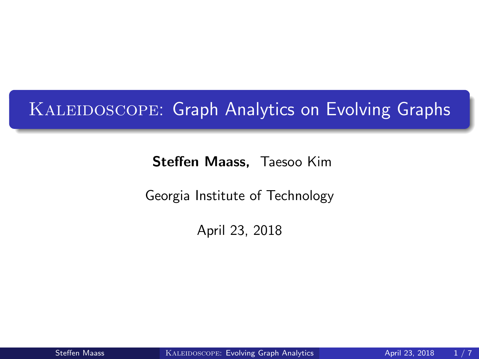## <span id="page-0-0"></span>KALEIDOSCOPE: Graph Analytics on Evolving Graphs

Steffen Maass, Taesoo Kim

Georgia Institute of Technology

April 23, 2018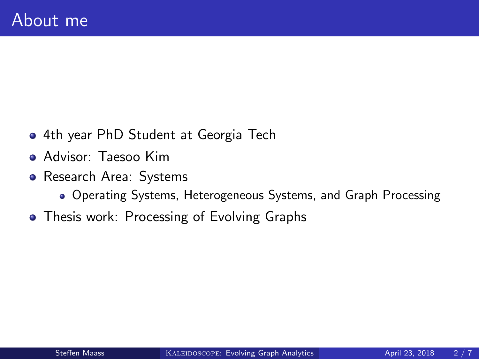- 4th year PhD Student at Georgia Tech
- Advisor: Taesoo Kim
- Research Area: Systems
	- Operating Systems, Heterogeneous Systems, and Graph Processing
- Thesis work: Processing of Evolving Graphs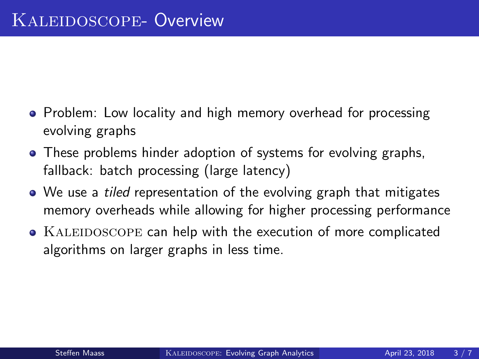- Problem: Low locality and high memory overhead for processing evolving graphs
- These problems hinder adoption of systems for evolving graphs, fallback: batch processing (large latency)
- We use a *tiled* representation of the evolving graph that mitigates memory overheads while allowing for higher processing performance
- KALEIDOSCOPE can help with the execution of more complicated algorithms on larger graphs in less time.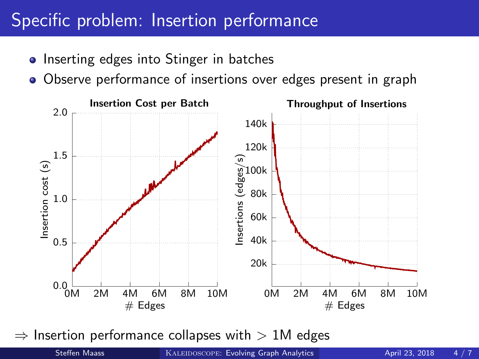## Specific problem: Insertion performance

- Inserting edges into Stinger in batches
- Observe performance of insertions over edges present in graph



 $\Rightarrow$  Insertion performance collapses with  $> 1M$  edges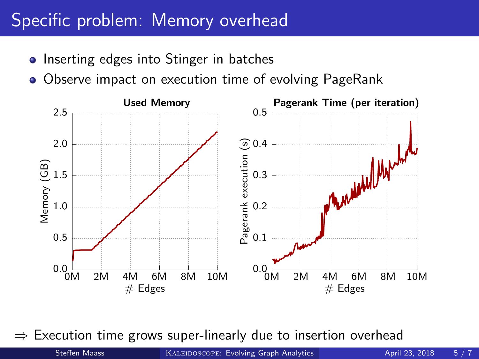## Specific problem: Memory overhead

- Inserting edges into Stinger in batches
- Observe impact on execution time of evolving PageRank



 $\Rightarrow$  Execution time grows super-linearly due to insertion overhead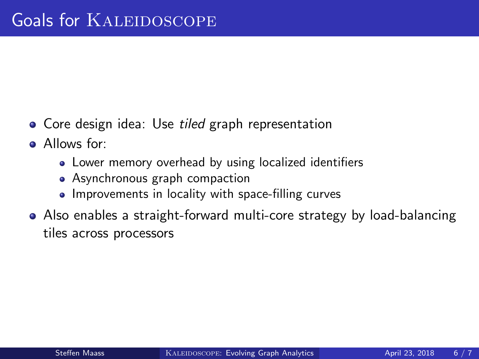- Core design idea: Use *tiled* graph representation
- Allows for:
	- Lower memory overhead by using localized identifiers
	- Asynchronous graph compaction
	- Improvements in locality with space-filling curves
- Also enables a straight-forward multi-core strategy by load-balancing tiles across processors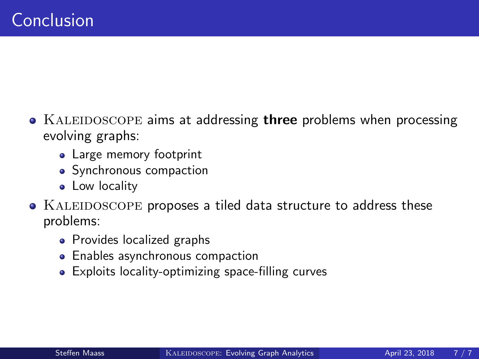- KALEIDOSCOPE aims at addressing three problems when processing evolving graphs:
	- Large memory footprint
	- Synchronous compaction
	- Low locality
- KALEIDOSCOPE proposes a tiled data structure to address these problems:
	- Provides localized graphs
	- Enables asynchronous compaction
	- Exploits locality-optimizing space-filling curves